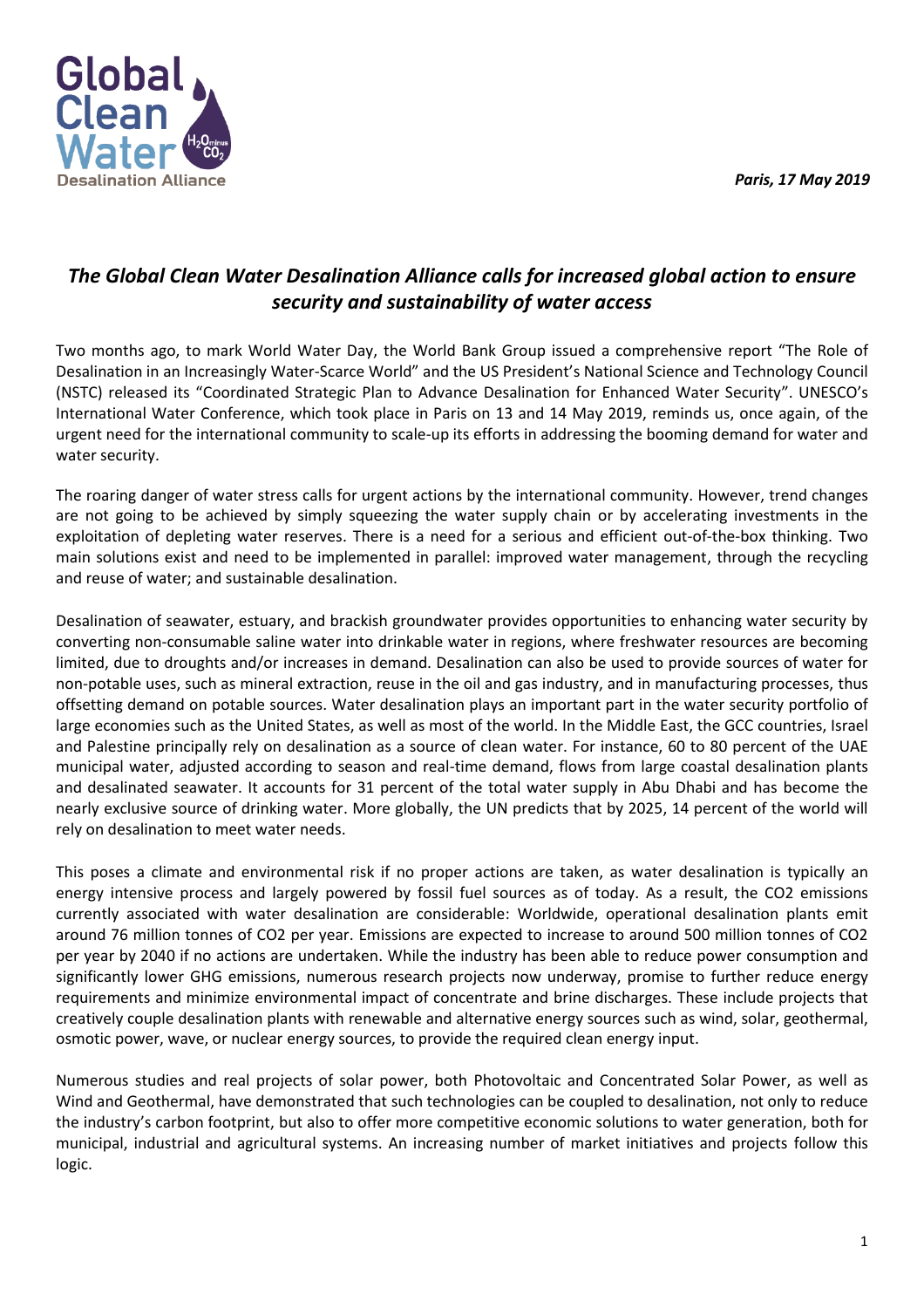*Paris, 17 May 2019* 



## *The Global Clean Water Desalination Alliance calls for increased global action to ensure security and sustainability of water access*

Two months ago, to mark World Water Day, the World Bank Group issued a comprehensive report "The Role of Desalination in an Increasingly Water-Scarce World" and the US President's National Science and Technology Council (NSTC) released its "Coordinated Strategic Plan to Advance Desalination for Enhanced Water Security". UNESCO's International Water Conference, which took place in Paris on 13 and 14 May 2019, reminds us, once again, of the urgent need for the international community to scale-up its efforts in addressing the booming demand for water and water security.

The roaring danger of water stress calls for urgent actions by the international community. However, trend changes are not going to be achieved by simply squeezing the water supply chain or by accelerating investments in the exploitation of depleting water reserves. There is a need for a serious and efficient out-of-the-box thinking. Two main solutions exist and need to be implemented in parallel: improved water management, through the recycling and reuse of water; and sustainable desalination.

Desalination of seawater, estuary, and brackish groundwater provides opportunities to enhancing water security by converting non-consumable saline water into drinkable water in regions, where freshwater resources are becoming limited, due to droughts and/or increases in demand. Desalination can also be used to provide sources of water for non-potable uses, such as mineral extraction, reuse in the oil and gas industry, and in manufacturing processes, thus offsetting demand on potable sources. Water desalination plays an important part in the water security portfolio of large economies such as the United States, as well as most of the world. In the Middle East, the GCC countries, Israel and Palestine principally rely on desalination as a source of clean water. For instance, 60 to 80 percent of the UAE municipal water, adjusted according to season and real-time demand, flows from large coastal desalination plants and desalinated seawater. It accounts for 31 percent of the total water supply in Abu Dhabi and has become the nearly exclusive source of drinking water. More globally, the UN predicts that by 2025, 14 percent of the world will rely on desalination to meet water needs.

This poses a climate and environmental risk if no proper actions are taken, as water desalination is typically an energy intensive process and largely powered by fossil fuel sources as of today. As a result, the CO2 emissions currently associated with water desalination are considerable: Worldwide, operational desalination plants emit around 76 million tonnes of CO2 per year. Emissions are expected to increase to around 500 million tonnes of CO2 per year by 2040 if no actions are undertaken. While the industry has been able to reduce power consumption and significantly lower GHG emissions, numerous research projects now underway, promise to further reduce energy requirements and minimize environmental impact of concentrate and brine discharges. These include projects that creatively couple desalination plants with renewable and alternative energy sources such as wind, solar, geothermal, osmotic power, wave, or nuclear energy sources, to provide the required clean energy input.

Numerous studies and real projects of solar power, both Photovoltaic and Concentrated Solar Power, as well as Wind and Geothermal, have demonstrated that such technologies can be coupled to desalination, not only to reduce the industry's carbon footprint, but also to offer more competitive economic solutions to water generation, both for municipal, industrial and agricultural systems. An increasing number of market initiatives and projects follow this logic.